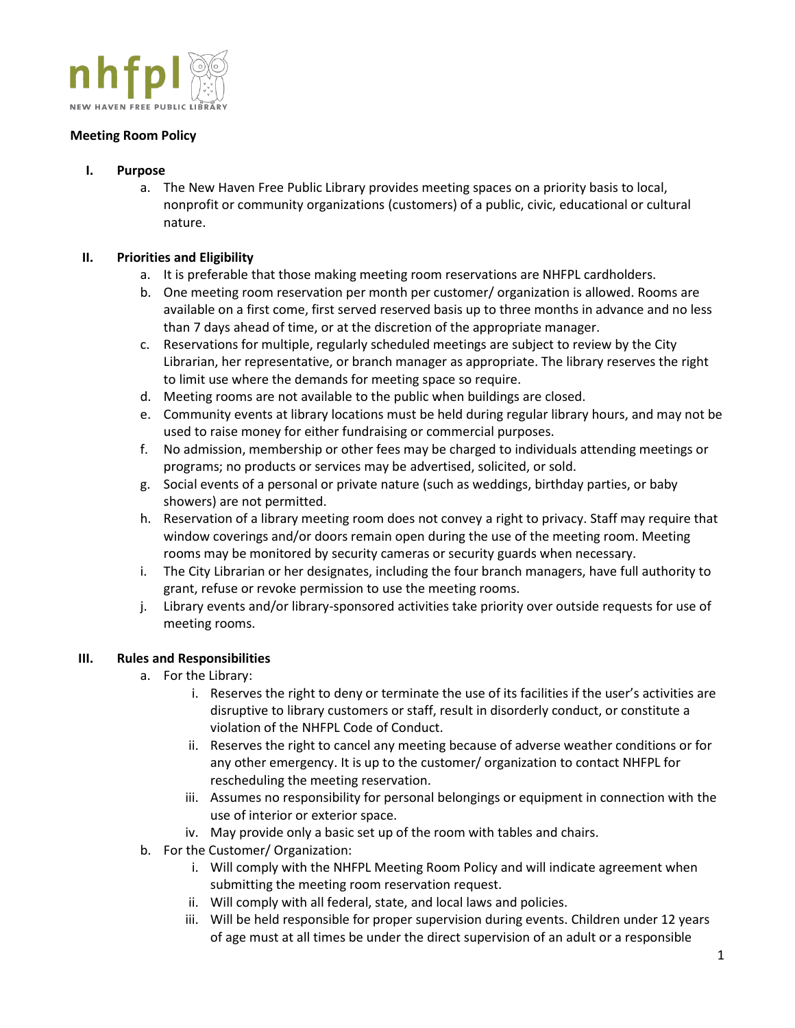

## **Meeting Room Policy**

- **I. Purpose**
	- a. The New Haven Free Public Library provides meeting spaces on a priority basis to local, nonprofit or community organizations (customers) of a public, civic, educational or cultural nature.

# **II. Priorities and Eligibility**

- a. It is preferable that those making meeting room reservations are NHFPL cardholders.
- b. One meeting room reservation per month per customer/ organization is allowed. Rooms are available on a first come, first served reserved basis up to three months in advance and no less than 7 days ahead of time, or at the discretion of the appropriate manager.
- c. Reservations for multiple, regularly scheduled meetings are subject to review by the City Librarian, her representative, or branch manager as appropriate. The library reserves the right to limit use where the demands for meeting space so require.
- d. Meeting rooms are not available to the public when buildings are closed.
- e. Community events at library locations must be held during regular library hours, and may not be used to raise money for either fundraising or commercial purposes.
- f. No admission, membership or other fees may be charged to individuals attending meetings or programs; no products or services may be advertised, solicited, or sold.
- g. Social events of a personal or private nature (such as weddings, birthday parties, or baby showers) are not permitted.
- h. Reservation of a library meeting room does not convey a right to privacy. Staff may require that window coverings and/or doors remain open during the use of the meeting room. Meeting rooms may be monitored by security cameras or security guards when necessary.
- i. The City Librarian or her designates, including the four branch managers, have full authority to grant, refuse or revoke permission to use the meeting rooms.
- j. Library events and/or library-sponsored activities take priority over outside requests for use of meeting rooms.

## **III. Rules and Responsibilities**

- a. For the Library:
	- i. Reserves the right to deny or terminate the use of its facilities if the user's activities are disruptive to library customers or staff, result in disorderly conduct, or constitute a violation of the NHFPL Code of Conduct.
	- ii. Reserves the right to cancel any meeting because of adverse weather conditions or for any other emergency. It is up to the customer/ organization to contact NHFPL for rescheduling the meeting reservation.
	- iii. Assumes no responsibility for personal belongings or equipment in connection with the use of interior or exterior space.
	- iv. May provide only a basic set up of the room with tables and chairs.
- b. For the Customer/ Organization:
	- i. Will comply with the NHFPL Meeting Room Policy and will indicate agreement when submitting the meeting room reservation request.
	- ii. Will comply with all federal, state, and local laws and policies.
	- iii. Will be held responsible for proper supervision during events. Children under 12 years of age must at all times be under the direct supervision of an adult or a responsible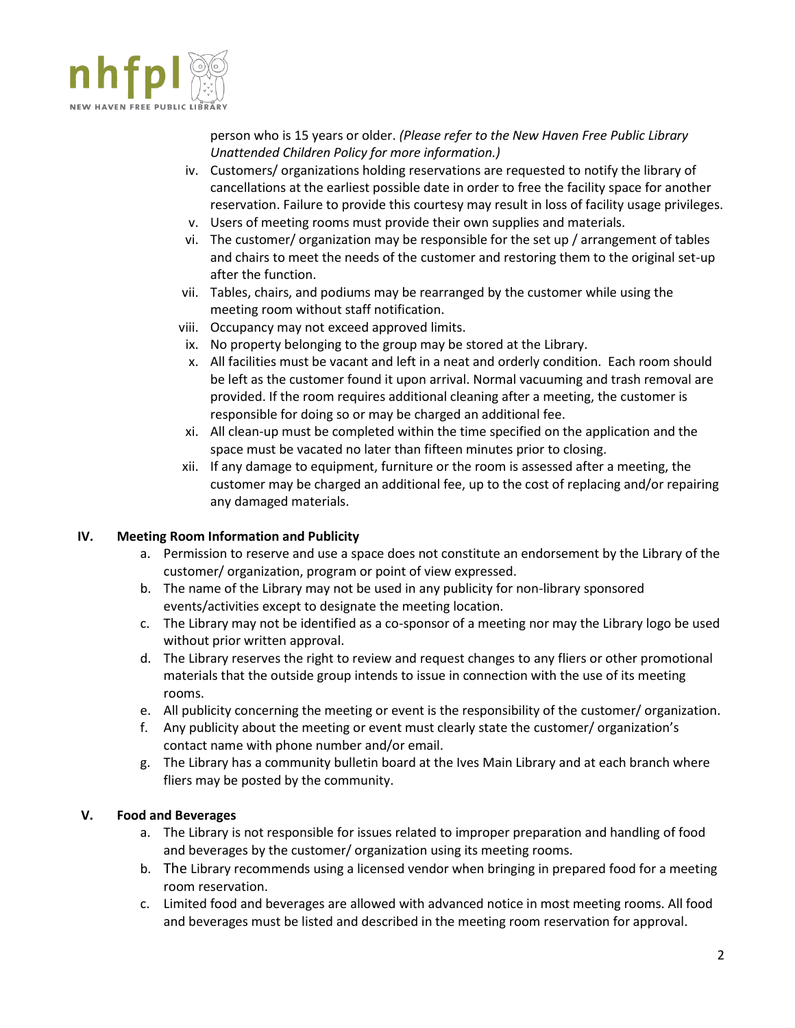

person who is 15 years or older. *(Please refer to the New Haven Free Public Library Unattended Children Policy for more information.)*

- iv. Customers/ organizations holding reservations are requested to notify the library of cancellations at the earliest possible date in order to free the facility space for another reservation. Failure to provide this courtesy may result in loss of facility usage privileges.
- v. Users of meeting rooms must provide their own supplies and materials.
- vi. The customer/ organization may be responsible for the set up / arrangement of tables and chairs to meet the needs of the customer and restoring them to the original set-up after the function.
- vii. Tables, chairs, and podiums may be rearranged by the customer while using the meeting room without staff notification.
- viii. Occupancy may not exceed approved limits.
- ix. No property belonging to the group may be stored at the Library.
- x. All facilities must be vacant and left in a neat and orderly condition. Each room should be left as the customer found it upon arrival. Normal vacuuming and trash removal are provided. If the room requires additional cleaning after a meeting, the customer is responsible for doing so or may be charged an additional fee.
- xi. All clean-up must be completed within the time specified on the application and the space must be vacated no later than fifteen minutes prior to closing.
- xii. If any damage to equipment, furniture or the room is assessed after a meeting, the customer may be charged an additional fee, up to the cost of replacing and/or repairing any damaged materials.

## **IV. Meeting Room Information and Publicity**

- a. Permission to reserve and use a space does not constitute an endorsement by the Library of the customer/ organization, program or point of view expressed.
- b. The name of the Library may not be used in any publicity for non-library sponsored events/activities except to designate the meeting location.
- c. The Library may not be identified as a co-sponsor of a meeting nor may the Library logo be used without prior written approval.
- d. The Library reserves the right to review and request changes to any fliers or other promotional materials that the outside group intends to issue in connection with the use of its meeting rooms.
- e. All publicity concerning the meeting or event is the responsibility of the customer/ organization.
- f. Any publicity about the meeting or event must clearly state the customer/ organization's contact name with phone number and/or email.
- g. The Library has a community bulletin board at the Ives Main Library and at each branch where fliers may be posted by the community.

## **V. Food and Beverages**

- a. The Library is not responsible for issues related to improper preparation and handling of food and beverages by the customer/ organization using its meeting rooms.
- b. The Library recommends using a licensed vendor when bringing in prepared food for a meeting room reservation.
- c. Limited food and beverages are allowed with advanced notice in most meeting rooms. All food and beverages must be listed and described in the meeting room reservation for approval.